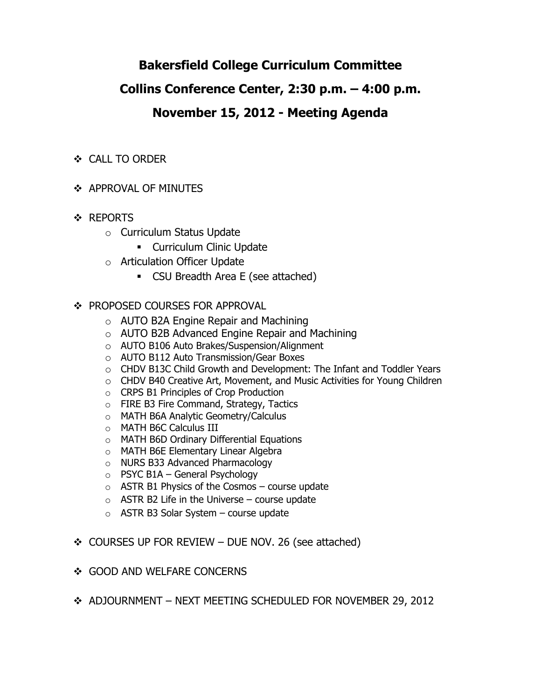# **Bakersfield College Curriculum Committee**

# **Collins Conference Center, 2:30 p.m. – 4:00 p.m.**

# **November 15, 2012 - Meeting Agenda**

- CALL TO ORDER
- **❖ APPROVAL OF MINUTES**
- ❖ REPORTS
	- o Curriculum Status Update
		- **-** Curriculum Clinic Update
	- o Articulation Officer Update
		- CSU Breadth Area E (see attached)

# ❖ PROPOSED COURSES FOR APPROVAL

- o AUTO B2A Engine Repair and Machining
- o AUTO B2B Advanced Engine Repair and Machining
- o AUTO B106 Auto Brakes/Suspension/Alignment
- o AUTO B112 Auto Transmission/Gear Boxes
- o CHDV B13C Child Growth and Development: The Infant and Toddler Years
- o CHDV B40 Creative Art, Movement, and Music Activities for Young Children
- o CRPS B1 Principles of Crop Production
- o FIRE B3 Fire Command, Strategy, Tactics
- o MATH B6A Analytic Geometry/Calculus
- o MATH B6C Calculus III
- o MATH B6D Ordinary Differential Equations
- o MATH B6E Elementary Linear Algebra
- o NURS B33 Advanced Pharmacology
- $\circ$  PSYC B1A General Psychology
- o ASTR B1 Physics of the Cosmos course update
- $\circ$  ASTR B2 Life in the Universe course update
- $\circ$  ASTR B3 Solar System course update
- $\div$  COURSES UP FOR REVIEW DUE NOV. 26 (see attached)
- ❖ GOOD AND WELFARE CONCERNS
- ADJOURNMENT NEXT MEETING SCHEDULED FOR NOVEMBER 29, 2012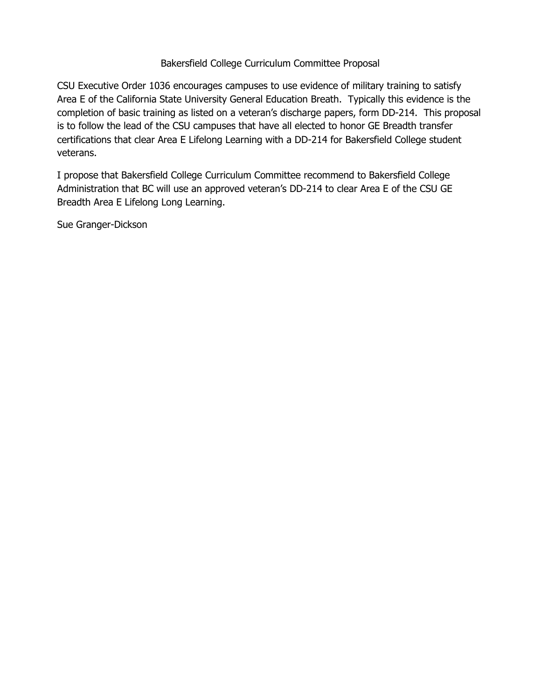### Bakersfield College Curriculum Committee Proposal

CSU Executive Order 1036 encourages campuses to use evidence of military training to satisfy Area E of the California State University General Education Breath. Typically this evidence is the completion of basic training as listed on a veteran's discharge papers, form DD-214. This proposal is to follow the lead of the CSU campuses that have all elected to honor GE Breadth transfer certifications that clear Area E Lifelong Learning with a DD-214 for Bakersfield College student veterans.

I propose that Bakersfield College Curriculum Committee recommend to Bakersfield College Administration that BC will use an approved veteran's DD-214 to clear Area E of the CSU GE Breadth Area E Lifelong Long Learning.

Sue Granger-Dickson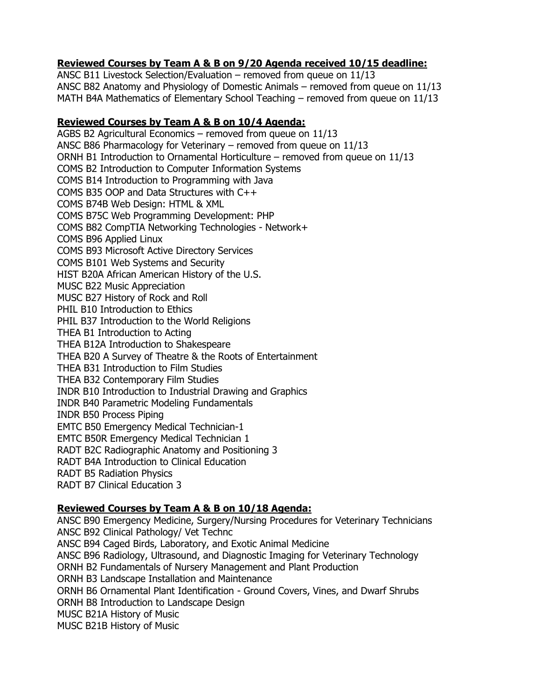## **Reviewed Courses by Team A & B on 9/20 Agenda received 10/15 deadline:**

ANSC B11 Livestock Selection/Evaluation – removed from queue on 11/13 ANSC B82 Anatomy and Physiology of Domestic Animals – removed from queue on 11/13 MATH B4A Mathematics of Elementary School Teaching – removed from queue on 11/13

#### **Reviewed Courses by Team A & B on 10/4 Agenda:**

AGBS B2 Agricultural Economics – removed from queue on 11/13 ANSC B86 Pharmacology for Veterinary – removed from queue on 11/13 ORNH B1 Introduction to Ornamental Horticulture – removed from queue on 11/13 COMS B2 Introduction to Computer Information Systems COMS B14 Introduction to Programming with Java COMS B35 OOP and Data Structures with C++ COMS B74B Web Design: HTML & XML COMS B75C Web Programming Development: PHP COMS B82 CompTIA Networking Technologies - Network+ COMS B96 Applied Linux COMS B93 Microsoft Active Directory Services COMS B101 Web Systems and Security HIST B20A African American History of the U.S. MUSC B22 Music Appreciation MUSC B27 History of Rock and Roll PHIL B10 Introduction to Ethics PHIL B37 Introduction to the World Religions THEA B1 Introduction to Acting THEA B12A Introduction to Shakespeare THEA B20 A Survey of Theatre & the Roots of Entertainment THEA B31 Introduction to Film Studies THEA B32 Contemporary Film Studies INDR B10 Introduction to Industrial Drawing and Graphics INDR B40 Parametric Modeling Fundamentals INDR B50 Process Piping EMTC B50 Emergency Medical Technician-1 EMTC B50R Emergency Medical Technician 1 RADT B2C Radiographic Anatomy and Positioning 3 RADT B4A Introduction to Clinical Education RADT B5 Radiation Physics RADT B7 Clinical Education 3

### **Reviewed Courses by Team A & B on 10/18 Agenda:**

ANSC B90 Emergency Medicine, Surgery/Nursing Procedures for Veterinary Technicians ANSC B92 Clinical Pathology/ Vet Technc ANSC B94 Caged Birds, Laboratory, and Exotic Animal Medicine ANSC B96 Radiology, Ultrasound, and Diagnostic Imaging for Veterinary Technology ORNH B2 Fundamentals of Nursery Management and Plant Production ORNH B3 Landscape Installation and Maintenance ORNH B6 Ornamental Plant Identification - Ground Covers, Vines, and Dwarf Shrubs ORNH B8 Introduction to Landscape Design MUSC B21A History of Music MUSC B21B History of Music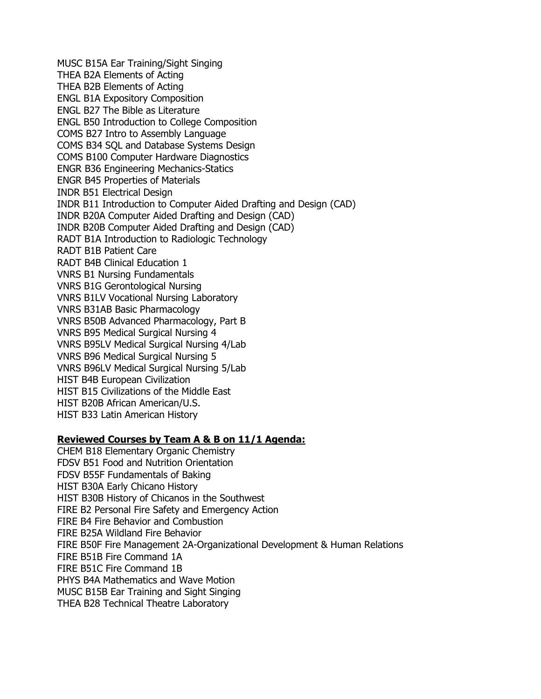MUSC B15A Ear Training/Sight Singing THEA B2A Elements of Acting THEA B2B Elements of Acting ENGL B1A Expository Composition ENGL B27 The Bible as Literature ENGL B50 Introduction to College Composition COMS B27 Intro to Assembly Language COMS B34 SQL and Database Systems Design COMS B100 Computer Hardware Diagnostics ENGR B36 Engineering Mechanics-Statics ENGR B45 Properties of Materials INDR B51 Electrical Design INDR B11 Introduction to Computer Aided Drafting and Design (CAD) INDR B20A Computer Aided Drafting and Design (CAD) INDR B20B Computer Aided Drafting and Design (CAD) RADT B1A Introduction to Radiologic Technology RADT B1B Patient Care RADT B4B Clinical Education 1 VNRS B1 Nursing Fundamentals VNRS B1G Gerontological Nursing VNRS B1LV Vocational Nursing Laboratory VNRS B31AB Basic Pharmacology VNRS B50B Advanced Pharmacology, Part B VNRS B95 Medical Surgical Nursing 4 VNRS B95LV Medical Surgical Nursing 4/Lab VNRS B96 Medical Surgical Nursing 5 VNRS B96LV Medical Surgical Nursing 5/Lab HIST B4B European Civilization HIST B15 Civilizations of the Middle East HIST B20B African American/U.S. HIST B33 Latin American History

#### **Reviewed Courses by Team A & B on 11/1 Agenda:**

CHEM B18 Elementary Organic Chemistry FDSV B51 Food and Nutrition Orientation FDSV B55F Fundamentals of Baking HIST B30A Early Chicano History HIST B30B History of Chicanos in the Southwest FIRE B2 Personal Fire Safety and Emergency Action FIRE B4 Fire Behavior and Combustion FIRE B25A Wildland Fire Behavior FIRE B50F Fire Management 2A-Organizational Development & Human Relations FIRE B51B Fire Command 1A FIRE B51C Fire Command 1B PHYS B4A Mathematics and Wave Motion MUSC B15B Ear Training and Sight Singing THEA B28 Technical Theatre Laboratory